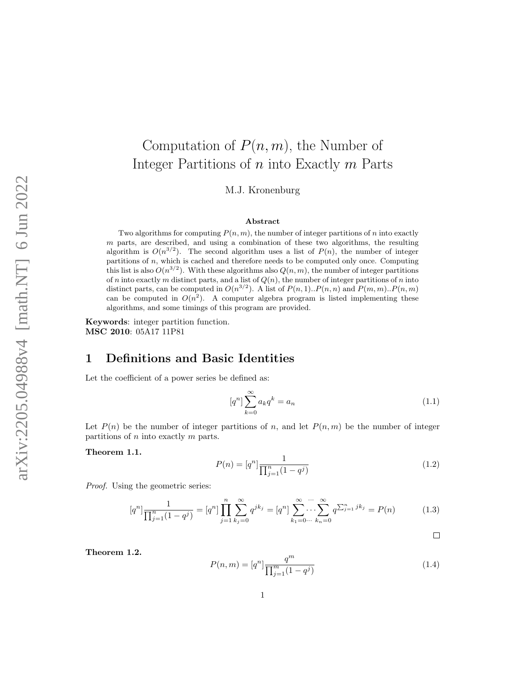# Computation of  $P(n, m)$ , the Number of Integer Partitions of n into Exactly m Parts M.J. Kronenburg

#### Abstract

Two algorithms for computing  $P(n, m)$ , the number of integer partitions of n into exactly  $m$  parts, are described, and using a combination of these two algorithms, the resulting algorithm is  $O(n^{3/2})$ . The second algorithm uses a list of  $P(n)$ , the number of integer partitions of n, which is cached and therefore needs to be computed only once. Computing this list is also  $O(n^{3/2})$ . With these algorithms also  $Q(n, m)$ , the number of integer partitions of n into exactly m distinct parts, and a list of  $Q(n)$ , the number of integer partitions of n into distinct parts, can be computed in  $O(n^{3/2})$ . A list of  $P(n, 1) \cdot P(n, n)$  and  $P(m, m) \cdot P(n, m)$ can be computed in  $O(n^2)$ . A computer algebra program is listed implementing these algorithms, and some timings of this program are provided.

Keywords: integer partition function. MSC 2010: 05A17 11P81

## 1 Definitions and Basic Identities

Let the coefficient of a power series be defined as:

$$
[q^n] \sum_{k=0}^{\infty} a_k q^k = a_n \tag{1.1}
$$

Let  $P(n)$  be the number of integer partitions of n, and let  $P(n,m)$  be the number of integer partitions of  $n$  into exactly  $m$  parts.

<span id="page-0-1"></span>Theorem 1.1.

$$
P(n) = [q^n] \frac{1}{\prod_{j=1}^n (1 - q^j)}\tag{1.2}
$$

Proof. Using the geometric series:

$$
[q^n] \frac{1}{\prod_{j=1}^n (1-q^j)} = [q^n] \prod_{j=1}^n \sum_{k_j=0}^\infty q^{jk_j} = [q^n] \sum_{k_1=0 \cdots}^\infty \cdots \sum_{k_n=0}^\infty q^{\sum_{j=1}^n j k_j} = P(n) \tag{1.3}
$$

 $\Box$ 

<span id="page-0-0"></span>Theorem 1.2.

$$
P(n,m) = [q^n] \frac{q^m}{\prod_{j=1}^m (1-q^j)}\tag{1.4}
$$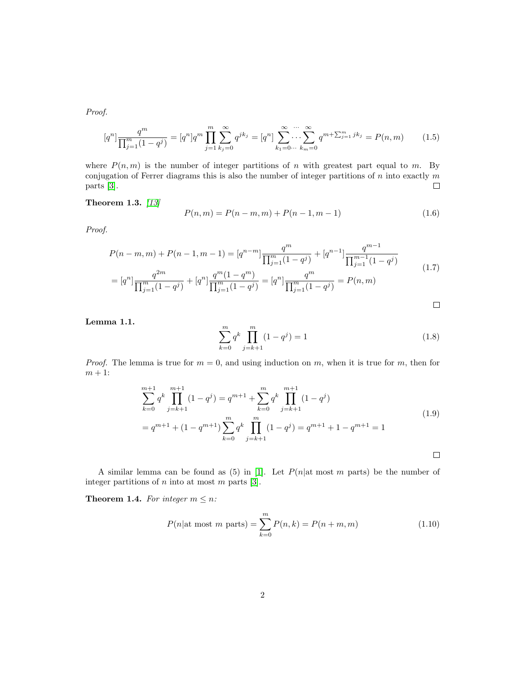Proof.

$$
[q^n] \frac{q^m}{\prod_{j=1}^m (1-q^j)} = [q^n] q^m \prod_{j=1}^m \sum_{k_j=0}^\infty q^{jk_j} = [q^n] \sum_{k_1=0}^\infty \cdots \sum_{k_m=0}^\infty q^{m+\sum_{j=1}^m jk_j} = P(n,m) \tag{1.5}
$$

where  $P(n,m)$  is the number of integer partitions of n with greatest part equal to m. By conjugation of Ferrer diagrams this is also the number of integer partitions of  $n$  into exactly  $m$ parts [\[3\]](#page-11-0).  $\Box$ 

<span id="page-1-1"></span>Theorem 1.3. [\[13\]](#page-12-0)

$$
P(n,m) = P(n-m,m) + P(n-1,m-1)
$$
\n(1.6)

Proof.

$$
P(n-m,m) + P(n-1,m-1) = [q^{n-m}] \frac{q^m}{\prod_{j=1}^m (1-q^j)} + [q^{n-1}] \frac{q^{m-1}}{\prod_{j=1}^{m-1} (1-q^j)}
$$
  
= 
$$
[q^n] \frac{q^{2m}}{\prod_{j=1}^m (1-q^j)} + [q^n] \frac{q^m (1-q^m)}{\prod_{j=1}^m (1-q^j)} = [q^n] \frac{q^m}{\prod_{j=1}^m (1-q^j)} = P(n,m)
$$
 (1.7)

 $\Box$ 

### <span id="page-1-0"></span>Lemma 1.1.

$$
\sum_{k=0}^{m} q^k \prod_{j=k+1}^{m} (1 - q^j) = 1
$$
\n(1.8)

*Proof.* The lemma is true for  $m = 0$ , and using induction on m, when it is true for m, then for  $m + 1$ :

$$
\sum_{k=0}^{m+1} q^k \prod_{j=k+1}^{m+1} (1 - q^j) = q^{m+1} + \sum_{k=0}^m q^k \prod_{j=k+1}^{m+1} (1 - q^j)
$$
  
=  $q^{m+1} + (1 - q^{m+1}) \sum_{k=0}^m q^k \prod_{j=k+1}^m (1 - q^j) = q^{m+1} + 1 - q^{m+1} = 1$  (1.9)

A similar lemma can be found as  $(5)$  in [\[1\]](#page-11-1). Let  $P(n|\text{at most } m \text{ parts})$  be the number of integer partitions of  $n$  into at most  $m$  parts [\[3\]](#page-11-0).

**Theorem 1.4.** For integer  $m \leq n$ :

$$
P(n|\text{at most } m \text{ parts}) = \sum_{k=0}^{m} P(n,k) = P(n+m, m)
$$
 (1.10)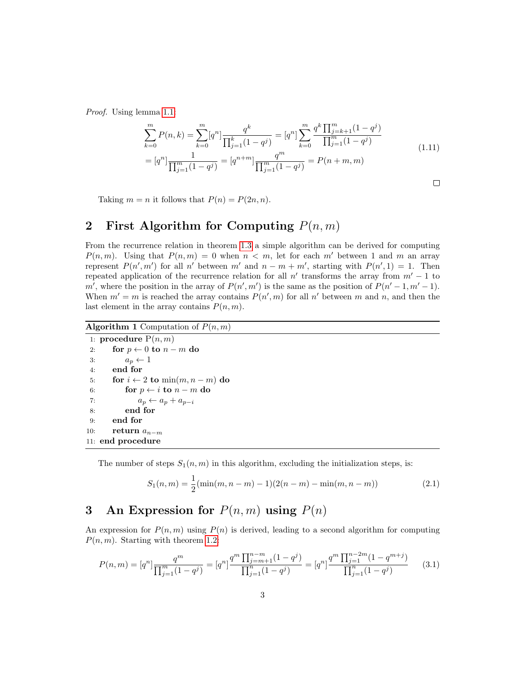Proof. Using lemma [1.1:](#page-1-0)

$$
\sum_{k=0}^{m} P(n,k) = \sum_{k=0}^{m} [q^n] \frac{q^k}{\prod_{j=1}^k (1-q^j)} = [q^n] \sum_{k=0}^{m} \frac{q^k \prod_{j=k+1}^{m} (1-q^j)}{\prod_{j=1}^{m} (1-q^j)}
$$
\n
$$
= [q^n] \frac{1}{\prod_{j=1}^{m} (1-q^j)} = [q^{n+m}] \frac{q^m}{\prod_{j=1}^{m} (1-q^j)} = P(n+m, m)
$$
\n(1.11)

 $\Box$ 

Taking  $m = n$  it follows that  $P(n) = P(2n, n)$ .

## 2 First Algorithm for Computing  $P(n, m)$

From the recurrence relation in theorem [1.3](#page-1-1) a simple algorithm can be derived for computing  $P(n, m)$ . Using that  $P(n, m) = 0$  when  $n < m$ , let for each m' between 1 and m an array represent  $P(n', m')$  for all n' between m' and  $n - m + m'$ , starting with  $P(n', 1) = 1$ . Then repeated application of the recurrence relation for all  $n'$  transforms the array from  $m'-1$  to m', where the position in the array of  $P(n', m')$  is the same as the position of  $P(n'-1, m'-1)$ . When  $m' = m$  is reached the array contains  $P(n', m)$  for all n' between m and n, and then the last element in the array contains  $P(n, m)$ .

Algorithm 1 Computation of  $P(n, m)$ 

```
1: procedure P(n, m)2: for p \leftarrow 0 to n - m do
3: a_p \leftarrow 14: end for
5: for i \leftarrow 2 to \min(m, n-m) do
 6: for p \leftarrow i to n - m do
7: a_p \leftarrow a_p + a_{p-i}8: end for
9: end for
10: return a_{n-m}11: end procedure
```
The number of steps  $S_1(n, m)$  in this algorithm, excluding the initialization steps, is:

<span id="page-2-0"></span>
$$
S_1(n,m) = \frac{1}{2}(\min(m, n-m) - 1)(2(n-m) - \min(m, n-m))
$$
\n(2.1)

## 3 An Expression for  $P(n, m)$  using  $P(n)$

An expression for  $P(n, m)$  using  $P(n)$  is derived, leading to a second algorithm for computing  $P(n, m)$ . Starting with theorem [1.2:](#page-0-0)

$$
P(n,m) = [q^n] \frac{q^m}{\prod_{j=1}^m (1-q^j)} = [q^n] \frac{q^m \prod_{j=m+1}^{n-m} (1-q^j)}{\prod_{j=1}^n (1-q^j)} = [q^n] \frac{q^m \prod_{j=1}^{n-2m} (1-q^{m+j})}{\prod_{j=1}^n (1-q^j)} \tag{3.1}
$$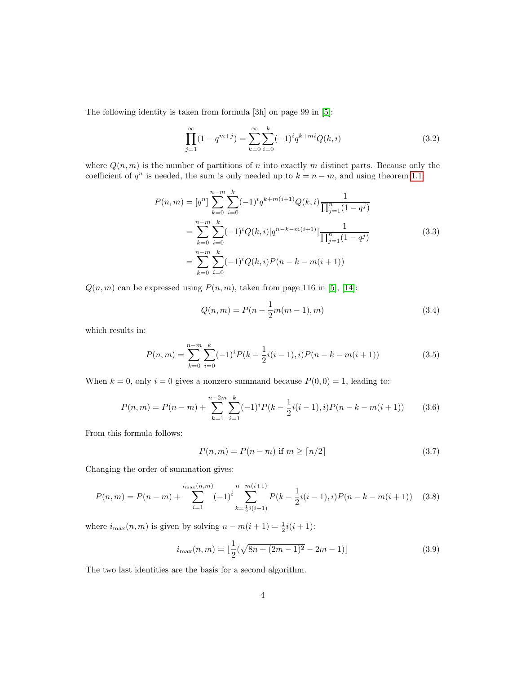The following identity is taken from formula [3h] on page 99 in [\[5\]](#page-11-2):

$$
\prod_{j=1}^{\infty} (1 - q^{m+j}) = \sum_{k=0}^{\infty} \sum_{i=0}^{k} (-1)^i q^{k+mi} Q(k, i)
$$
\n(3.2)

where  $Q(n, m)$  is the number of partitions of n into exactly m distinct parts. Because only the coefficient of  $q^n$  is needed, the sum is only needed up to  $k = n - m$ , and using theorem [1.1:](#page-0-1)

$$
P(n,m) = [q^n] \sum_{k=0}^{n-m} \sum_{i=0}^k (-1)^i q^{k+m(i+1)} Q(k,i) \frac{1}{\prod_{j=1}^n (1-q^j)}
$$
  
= 
$$
\sum_{k=0}^{n-m} \sum_{i=0}^k (-1)^i Q(k,i) [q^{n-k-m(i+1)}] \frac{1}{\prod_{j=1}^n (1-q^j)}
$$
  
= 
$$
\sum_{k=0}^{n-m} \sum_{i=0}^k (-1)^i Q(k,i) P(n-k-m(i+1))
$$
(3.3)

 $Q(n, m)$  can be expressed using  $P(n, m)$ , taken from page 116 in [\[5\]](#page-11-2), [\[14\]](#page-12-1):

$$
Q(n,m) = P(n - \frac{1}{2}m(m-1), m)
$$
\n(3.4)

which results in:

$$
P(n,m) = \sum_{k=0}^{n-m} \sum_{i=0}^{k} (-1)^{i} P(k - \frac{1}{2}i(i-1), i) P(n - k - m(i+1))
$$
\n(3.5)

When  $k = 0$ , only  $i = 0$  gives a nonzero summand because  $P(0, 0) = 1$ , leading to:

$$
P(n,m) = P(n-m) + \sum_{k=1}^{n-2m} \sum_{i=1}^{k} (-1)^i P(k - \frac{1}{2}i(i-1), i) P(n - k - m(i+1)) \tag{3.6}
$$

From this formula follows:

$$
P(n,m) = P(n-m) \text{ if } m \ge \lceil n/2 \rceil \tag{3.7}
$$

Changing the order of summation gives:

<span id="page-3-0"></span>
$$
P(n,m) = P(n-m) + \sum_{i=1}^{i_{\text{max}}(n,m)} (-1)^i \sum_{k=\frac{1}{2}i(i+1)}^{n-m(i+1)} P(k - \frac{1}{2}i(i-1), i) P(n - k - m(i+1)) \quad (3.8)
$$

where  $i_{\max}(n,m)$  is given by solving  $n - m(i + 1) = \frac{1}{2}i(i + 1)$ :

<span id="page-3-1"></span>
$$
i_{\max}(n,m) = \lfloor \frac{1}{2}(\sqrt{8n + (2m-1)^2} - 2m - 1) \rfloor
$$
\n(3.9)

The two last identities are the basis for a second algorithm.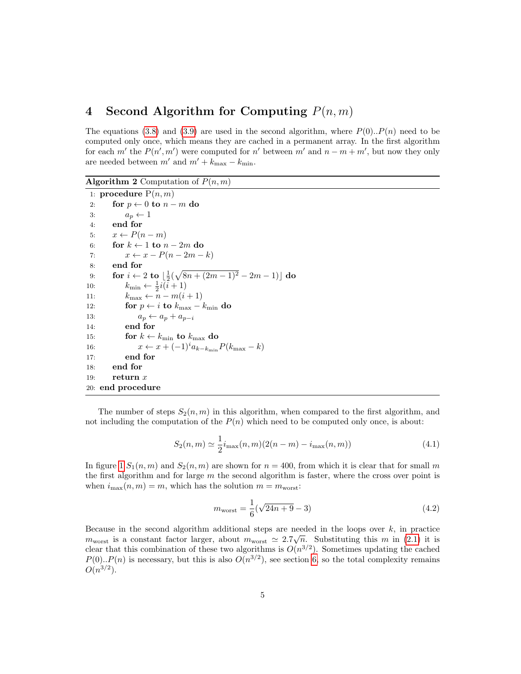## 4 Second Algorithm for Computing  $P(n, m)$

The equations [\(3.8\)](#page-3-0) and [\(3.9\)](#page-3-1) are used in the second algorithm, where  $P(0) \cdot P(n)$  need to be computed only once, which means they are cached in a permanent array. In the first algorithm for each m' the  $P(n', m')$  were computed for n' between m' and  $n - m + m'$ , but now they only are needed between  $m'$  and  $m' + k_{\text{max}} - k_{\text{min}}$ .

**Algorithm 2** Computation of  $P(n, m)$ 

```
1: procedure P(n, m)2: for p \leftarrow 0 to n - m do
 3: a_p \leftarrow 14: end for
 5: x \leftarrow P(n-m)6: for k \leftarrow 1 to n - 2m do
 7: x \leftarrow x - P(n - 2m - k)8: end for
 9: for i \leftarrow 2 to \lfloor \frac{1}{2}(\sqrt{8n + (2m - 1)^2} - 2m - 1) \rfloor do
10: k_{\min} \leftarrow \frac{1}{2} i(\tilde{i} + 1)11: k_{\text{max}} \leftarrow n - m(i+1)12: for p \leftarrow i to k_{\text{max}} - k_{\text{min}} do
13: a_p \leftarrow a_p + a_{p-i}14: end for
15: for k \leftarrow k_{\min} to k_{\max} do
16: x \leftarrow x + (-1)^i a_{k-k_{\min}} P(k_{\max} - k)17: end for
18: end for
19: return x20: end procedure
```
The number of steps  $S_2(n, m)$  in this algorithm, when compared to the first algorithm, and not including the computation of the  $P(n)$  which need to be computed only once, is about:

$$
S_2(n,m) \simeq \frac{1}{2} i_{\max}(n,m) (2(n-m) - i_{\max}(n,m))
$$
\n(4.1)

In figure [1](#page-5-0)  $S_1(n,m)$  and  $S_2(n,m)$  are shown for  $n = 400$ , from which it is clear that for small m the first algorithm and for large  $m$  the second algorithm is faster, where the cross over point is when  $i_{\text{max}}(n, m) = m$ , which has the solution  $m = m_{\text{worst}}$ :

$$
m_{\text{worst}} = \frac{1}{6}(\sqrt{24n + 9} - 3)
$$
\n(4.2)

Because in the second algorithm additional steps are needed in the loops over k, in practice  $m_{\text{worst}}$  is a constant factor larger, about  $m_{\text{worst}} \simeq 2.7\sqrt{n}$ . Substituting this m in [\(2.1\)](#page-2-0) it is clear that this combination of these two algorithms is  $O(n^{3/2})$ . Sometimes updating the cached  $P(0) \text{...} P(n)$  is necessary, but this is also  $O(n^{3/2})$ , see section [6,](#page-6-0) so the total complexity remains  $O(n^{3/2})$ .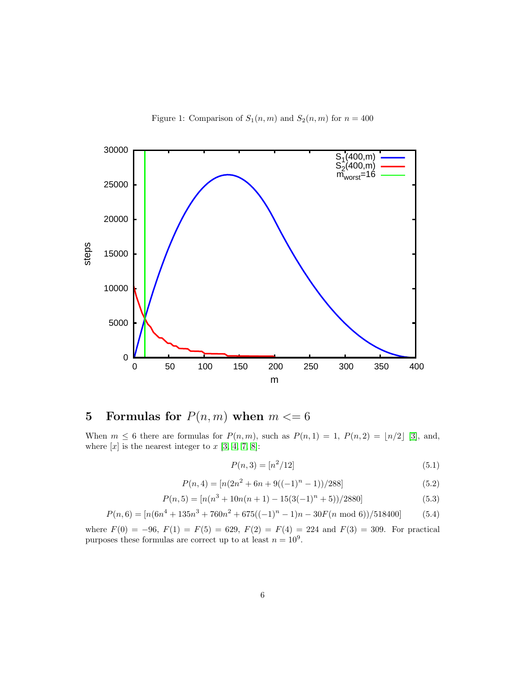Figure 1: Comparison of  $S_1(n,m)$  and  $S_2(n,m)$  for  $n = 400$ 

<span id="page-5-0"></span>

# 5 Formulas for  $P(n, m)$  when  $m \le 6$

When  $m \leq 6$  there are formulas for  $P(n, m)$ , such as  $P(n, 1) = 1$ ,  $P(n, 2) = \lfloor n/2 \rfloor$  [\[3\]](#page-11-0), and, where  $[x]$  is the nearest integer to  $x$  [\[3,](#page-11-0) [4,](#page-11-3) [7,](#page-11-4) [8\]](#page-12-2):

$$
P(n,3) = [n^2/12] \tag{5.1}
$$

$$
P(n,4) = [n(2n2 + 6n + 9((-1)n - 1))/288]
$$
\n(5.2)

$$
P(n,5) = \frac{n(n^3 + 10n(n+1) - 15(3(-1)^n + 5))/2880}{5.3}
$$

$$
P(n,6) = [n(6n4 + 135n3 + 760n2 + 675((-1)n - 1)n - 30F(n \mod 6))/518400] \tag{5.4}
$$

where  $F(0) = -96$ ,  $F(1) = F(5) = 629$ ,  $F(2) = F(4) = 224$  and  $F(3) = 309$ . For practical purposes these formulas are correct up to at least  $n = 10^9$ .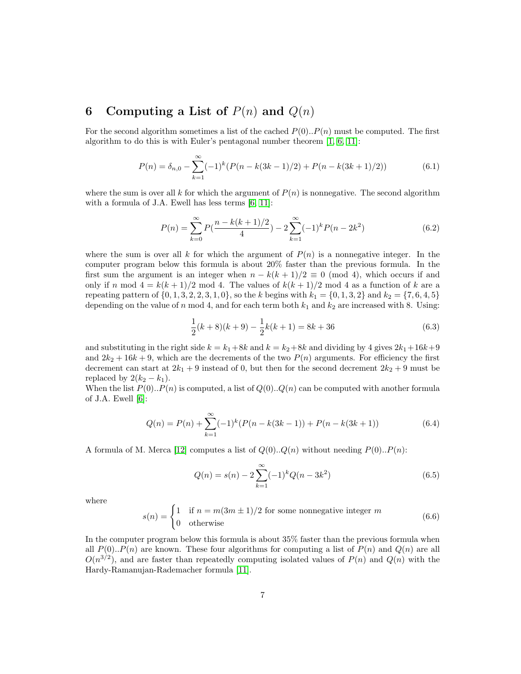## <span id="page-6-0"></span>6 Computing a List of  $P(n)$  and  $Q(n)$

For the second algorithm sometimes a list of the cached  $P(0) \cdot P(n)$  must be computed. The first algorithm to do this is with Euler's pentagonal number theorem [\[1,](#page-11-1) [6,](#page-11-5) [11\]](#page-12-3):

$$
P(n) = \delta_{n,0} - \sum_{k=1}^{\infty} (-1)^k (P(n - k(3k - 1)/2) + P(n - k(3k + 1)/2))
$$
(6.1)

where the sum is over all k for which the argument of  $P(n)$  is nonnegative. The second algorithm with a formula of J.A. Ewell has less terms [\[6,](#page-11-5) [11\]](#page-12-3):

$$
P(n) = \sum_{k=0}^{\infty} P\left(\frac{n - k(k+1)/2}{4}\right) - 2\sum_{k=1}^{\infty} (-1)^k P(n - 2k^2)
$$
 (6.2)

where the sum is over all k for which the argument of  $P(n)$  is a nonnegative integer. In the computer program below this formula is about 20% faster than the previous formula. In the first sum the argument is an integer when  $n - k(k + 1)/2 \equiv 0 \pmod{4}$ , which occurs if and only if n mod  $4 = k(k+1)/2$  mod 4. The values of  $k(k+1)/2$  mod 4 as a function of k are a repeating pattern of  $\{0, 1, 3, 2, 2, 3, 1, 0\}$ , so the k begins with  $k_1 = \{0, 1, 3, 2\}$  and  $k_2 = \{7, 6, 4, 5\}$ depending on the value of n mod 4, and for each term both  $k_1$  and  $k_2$  are increased with 8. Using:

$$
\frac{1}{2}(k+8)(k+9) - \frac{1}{2}k(k+1) = 8k + 36\tag{6.3}
$$

and substituting in the right side  $k = k_1 + 8k$  and  $k = k_2 + 8k$  and dividing by 4 gives  $2k_1 + 16k_2 + 9$ and  $2k_2 + 16k + 9$ , which are the decrements of the two  $P(n)$  arguments. For efficiency the first decrement can start at  $2k_1 + 9$  instead of 0, but then for the second decrement  $2k_2 + 9$  must be replaced by  $2(k_2 - k_1)$ .

When the list  $P(0) \cdot P(n)$  is computed, a list of  $Q(0) \cdot Q(n)$  can be computed with another formula of J.A. Ewell  $[6]$ :

$$
Q(n) = P(n) + \sum_{k=1}^{\infty} (-1)^k (P(n - k(3k - 1)) + P(n - k(3k + 1))
$$
\n(6.4)

A formula of M. Merca [\[12\]](#page-12-4) computes a list of  $Q(0) \dots Q(n)$  without needing  $P(0) \dots P(n)$ :

$$
Q(n) = s(n) - 2\sum_{k=1}^{\infty} (-1)^k Q(n - 3k^2)
$$
\n(6.5)

where

$$
s(n) = \begin{cases} 1 & \text{if } n = m(3m \pm 1)/2 \text{ for some nonnegative integer } m \\ 0 & \text{otherwise} \end{cases}
$$
 (6.6)

In the computer program below this formula is about 35% faster than the previous formula when all  $P(0) \nightharpoonup P(n)$  are known. These four algorithms for computing a list of  $P(n)$  and  $Q(n)$  are all  $O(n^{3/2})$ , and are faster than repeatedly computing isolated values of  $P(n)$  and  $Q(n)$  with the Hardy-Ramanujan-Rademacher formula [\[11\]](#page-12-3).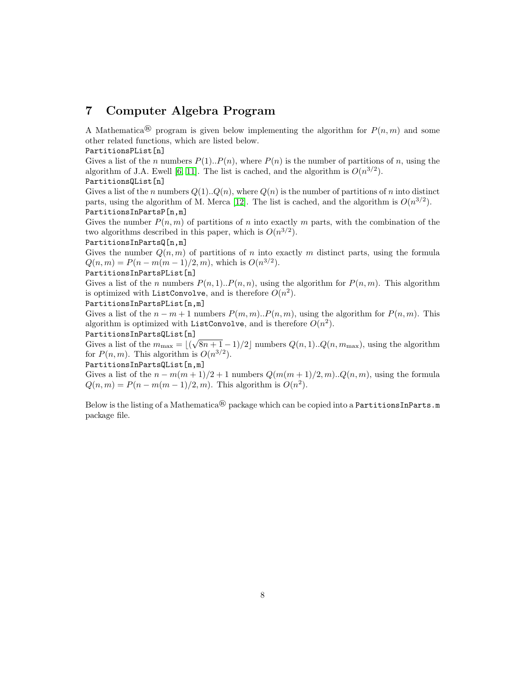## 7 Computer Algebra Program

A Mathematica<sup>®</sup> program is given below implementing the algorithm for  $P(n, m)$  and some other related functions, which are listed below.

#### PartitionsPList[n]

Gives a list of the n numbers  $P(1) \cdot P(n)$ , where  $P(n)$  is the number of partitions of n, using the algorithm of J.A. Ewell [\[6,](#page-11-5) [11\]](#page-12-3). The list is cached, and the algorithm is  $O(n^{3/2})$ . PartitionsQList[n]

Gives a list of the n numbers  $Q(1) \cdot Q(n)$ , where  $Q(n)$  is the number of partitions of n into distinct parts, using the algorithm of M. Merca [\[12\]](#page-12-4). The list is cached, and the algorithm is  $O(n^{3/2})$ . PartitionsInPartsP[n,m]

Gives the number  $P(n, m)$  of partitions of n into exactly m parts, with the combination of the two algorithms described in this paper, which is  $O(n^{3/2})$ .

#### PartitionsInPartsQ[n,m]

Gives the number  $Q(n, m)$  of partitions of n into exactly m distinct parts, using the formula  $Q(n,m) = P(n-m(m-1)/2, m)$ , which is  $O(n^{3/2})$ .

#### PartitionsInPartsPList[n]

Gives a list of the *n* numbers  $P(n, 1) \cdot P(n, n)$ , using the algorithm for  $P(n, m)$ . This algorithm is optimized with ListConvolve, and is therefore  $O(n^2)$ .

#### PartitionsInPartsPList[n,m]

Gives a list of the  $n - m + 1$  numbers  $P(m, m)$ .  $P(n, m)$ , using the algorithm for  $P(n, m)$ . This algorithm is optimized with ListConvolve, and is therefore  $O(n^2)$ .

#### PartitionsInPartsQList[n]

Fartitions in Parts<br>Queens a list of the  $m_{\text{max}} = \lfloor (\sqrt{8n + 1} - 1)/2 \rfloor$  numbers  $Q(n, 1) \ldots Q(n, m_{\text{max}})$ , using the algorithm for  $P(n, m)$ . This algorithm is  $O(n^{3/2})$ .

#### PartitionsInPartsQList[n,m]

Gives a list of the  $n - m(m + 1)/2 + 1$  numbers  $Q(m(m + 1)/2, m) \ldots Q(n, m)$ , using the formula  $Q(n, m) = P(n - m(m - 1)/2, m)$ . This algorithm is  $O(n^2)$ .

Below is the listing of a Mathematica<sup>®</sup> package which can be copied into a PartitionsInParts.m package file.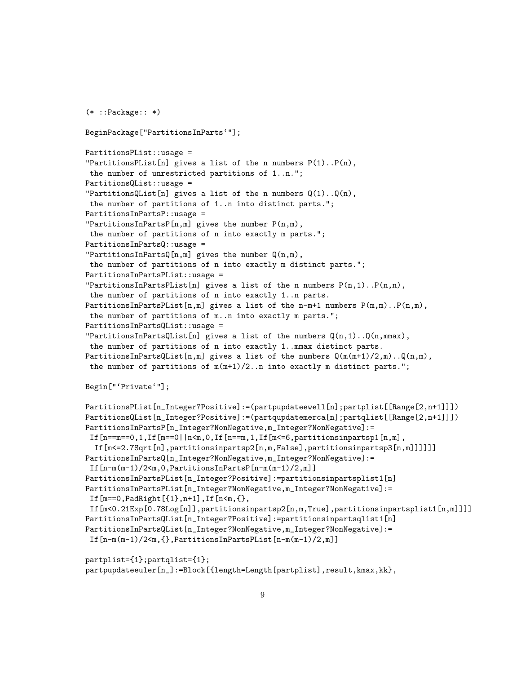```
(* ::Package:: *)
```

```
BeginPackage["PartitionsInParts'"];
PartitionsPList::usage =
"PartitionsPList[n] gives a list of the n numbers P(1) \tP(n),
the number of unrestricted partitions of 1..n.";
PartitionsQList::usage =
"PartitionsQList[n] gives a list of the n numbers Q(1) \ldots Q(n),
 the number of partitions of 1..n into distinct parts.";
PartitionsInPartsP::usage =
"PartitionsInPartsP[n,m] gives the number P(n,m),
 the number of partitions of n into exactly m parts.";
PartitionsInPartsQ::usage =
"PartitionsInPartsQ[n,m] gives the number Q(n,m),
 the number of partitions of n into exactly m distinct parts.";
PartitionsInPartsPList::usage =
"PartitionsInPartsPList[n] gives a list of the n numbers P(n,1) \dots P(n,n),
 the number of partitions of n into exactly 1..n parts.
PartitionsInPartsPList[n,m] gives a list of the n-m+1 numbers P(m,m)..P(n,m),
 the number of partitions of m..n into exactly m parts.";
PartitionsInPartsQList::usage =
"PartitionsInPartsQList[n] gives a list of the numbers Q(n,1) \ldots Q(n,mmax),
 the number of partitions of n into exactly 1..mmax distinct parts.
PartitionsInPartsQList[n,m] gives a list of the numbers Q(m(m+1)/2,m)..Q(n,m),
 the number of partitions of m(m+1)/2..n into exactly m distinct parts.";
Begin["'Private'"];
```

```
PartitionsPList[n_Integer?Positive]:=(partpupdateewell[n];partplist[[Range[2,n+1]]])
PartitionsQList[n_Integer?Positive]:=(partqupdatemerca[n];partqlist[[Range[2,n+1]]])
PartitionsInPartsP[n_Integer?NonNegative,m_Integer?NonNegative]:=
 If [n == m == 0, 1, If [m == 0 | n < m, 0, If [n == m, 1, If [m < = 6, partitionsinpartsp1[n, m],
  If[m<=2.7Sqrt[n],partitionsinpartsp2[n,m,False],partitionsinpartsp3[n,m]]]]]]
PartitionsInPartsQ[n_Integer?NonNegative,m_Integer?NonNegative]:=
 If[n-m(m-1)/2<m,0,PartitionsInPartsP[n-m(m-1)/2,m]]
PartitionsInPartsPList[n_Integer?Positive]:=partitionsinpartsplist1[n]
PartitionsInPartsPList[n_Integer?NonNegative,m_Integer?NonNegative]:=
 If [m == 0, PadRight[{1},n+1],If[n < m, {},If[m<0.21Exp[0.78Log[n]],partitionsinpartsp2[n,m,True],partitionsinpartsplist1[n,m]]]]
PartitionsInPartsQList[n_Integer?Positive]:=partitionsinpartsqlist1[n]
PartitionsInPartsQList[n_Integer?NonNegative,m_Integer?NonNegative]:=
 If[n-m(m-1)/2<sub>m</sub>,\ PartitionsInPartsPList[n-m(m-1)/2,m]]
```

```
partplist={1};partqlist={1};
partpupdateeuler[n_]:=Block[{length=Length[partplist],result,kmax,kk},
```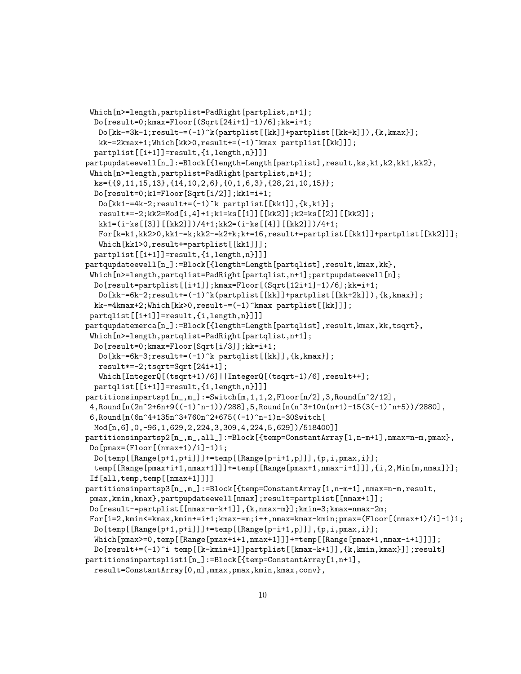```
Which[n>=length,partplist=PadRight[partplist,n+1];
 Do[result=0;kmax=Floor[(Sqrt[24i+1]-1)/6];kk=i+1;
   Do[kk=-3k-1; result=-(-1)^k(partplist[[kk]]+partplist[[kk+k]]),{k,kmax}];kk-=2kmax+1;Which[kk>0,result+=(-1)^kmax partplist[[kk]]];
  partplist[[i+1]]=result,{i,length,n}]]]
partpupdateewell[n_]:=Block[{length=Length[partplist],result,ks,k1,k2,kk1,kk2},
 Which[n>=length,partplist=PadRight[partplist,n+1];
  ks={{9,11,15,13},{14,10,2,6},{0,1,6,3},{28,21,10,15}};
  Do[result=0;k1=Floor[Sqrt[i/2]];kk1=i+1;
   Do[kk1-=4k-2;result+=(-1)^k partplist[[kk1]],\{k,k1\}];
   result*=-2;kk2=Mod[i,4]+1;k1=ks[[1]][[kk2]];k2=ks[[2]][[kk2]];
   kk1=(i-ks[[3]][[kk2]])/4+1;kk2=(i-ks[[4]][[kk2]])/4+1;
   For[k=k1,kk2>0,kk1-=k;kk2-=k2+k;k+=16,result+=partplist[[kk1]]+partplist[[kk2]]];
   Which[kk1>0,result+=partplist[[kk1]]];
  partplist[[i+1]]=result,{i,length,n}]]]
partqupdateewell[n_]:=Block[{length=Length[partqlist],result,kmax,kk},
 Which[n>=length,partqlist=PadRight[partqlist,n+1];partpupdateewell[n];
 Do[result=partplist[[i+1]];kmax=Floor[(Sqrt[12i+1]-1)/6];kk=i+1;
   Do[kk-=6k-2;result+=(-1)^k(partplist[[kk]]+partplist[[kk+2k]]),{k,kmax}];
  kk-=4kmax+2;Which[kk>0,result-=(-1)^kmax partplist[[kk]]];
 partqlist[[i+1]]=result,{i,length,n}]]]
partqupdatemerca[n_]:=Block[{length=Length[partqlist],result,kmax,kk,tsqrt},
 Which[n>=length,partqlist=PadRight[partqlist,n+1];
  Do[result=0;kmax=Floor[Sqrt[i/3]];kk=i+1;
   Do[kk=6k-3; result+=(-1)^k partqlist[[kk]],{k, kmax}];
   result*=-2;tsqrt=Sqrt[24i+1];
   Which[IntegerQ[(tsqrt+1)/6]||IntegerQ[(tsqrt-1)/6],result++];
  partqlist[[i+1]]=result,{i,length,n}]]]
partitionsinpartsp1[n_-,m_-]:=Switch[m,1,1,2,Floor[n/2],3,Round[n^2/12],
 4,Round[n(2n^2+6n+9((-1)^n-1))/288],5,Round[n(n^3+10n(n+1)-15(3(-1)^n+5))/2880],
 6,Round[n(6n^4+135n^3+760n^2+675((-1)^n-1)n-30Switch[
  Mod[n,6],0,-96,1,629,2,224,3,309,4,224,5,629])/518400]]
partitionsinpartsp2[n_,m_,all_]:=Block[{temp=ConstantArray[1,n-m+1],nmax=n-m,pmax},
 Do[pmax=(Floor[(nmax+1)/i]-1)i;
  Do[temp[[Range[p+1,p+i]]]+=temp[[Range[p-i+1,p]]],{p,i,pmax,i}];
  temp[[Range[pmax+i+1,nmax+1]]]+=temp[[Range[pmax+1,nmax-i+1]]],{i,2,Min[m,nmax]}];
 If[all,temp,temp[[nmax+1]]]]
partitionsinpartsp3[n_,m_]:=Block[{temp=ConstantArray[1,n-m+1],nmax=n-m,result,
 pmax,kmin,kmax},partpupdateewell[nmax];result=partplist[[nmax+1]];
Do[result-=partplist[[nmax-m-k+1]],{k,nmax-m}];kmin=3;kmax=nmax-2m;
 For[i=2, kmin \leq kmax, kmin += i+1; kmax = m; i++, max = kmax - kmin; pmax = (Floor[(mmax+1)/i]-1)i;Do[temp[[Range[p+1,p+i]]]+=temp[[Range[p-i+1,p]]],{p,i,pmax,i}];
  \text{Which}[\text{pmax}=0,\text{temp}[\text{Range}[\text{pmax}+i+1,\text{nmax}+1]]]+\text{temp}[\text{Range}[\text{pmax}+1,\text{nmax}-i+1]]]];
  Do[result+=(-1)^i temp[[k-kmin+1]]partplist[[kmax-k+1]],{k,kmin,kmax}]];result]
partitionsinpartsplist1[n_]:=Block[{temp=ConstantArray[1,n+1],
  result=ConstantArray[0,n],mmax,pmax,kmin,kmax,conv},
```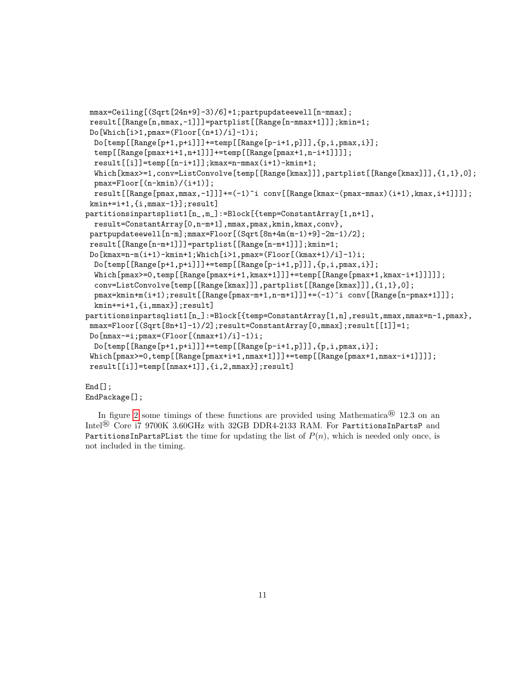```
mmax=Ceiling[(Sqrt[24n+9]-3)/6]+1;partpupdateewell[n-mmax];
result[[Range[n,mmax,-1]]]=partplist[[Range[n-mmax+1]]];kmin=1;
 Do[Which[i>1,pmax=(Floor[(n+1)/i]-1)i;D\circ[temp[[Range[p+1,p+i]]]+=temp[[Range[p-i+1,p]]],{p,i,pmax,i}];
  temp[[Range[pmax+i+1,n+1]]]+=temp[[Range[pmax+1,n-i+1]]]];
  result[[i]]=temp[[n-i+1]];kmax=n-mmax(i+1)-kmin+1;
  Which[kmax>=1,conv=ListConvolve[temp[[Range[kmax]]],partplist[[Range[kmax]]],{1,1},0];
  pmax=Floor[(n-kmin)/(i+1)];
  result[[Range[pmax,mmax,-1]]]+((-1)^i \cong (Range[kmax-(pmax-mmax)(i+1),kmax,i+1]]]];kmin+=i+1,{i,mmax-1}];result]
partitionsinpartsplist1[n_,m_]:=Block[{temp=ConstantArray[1,n+1],
  result=ConstantArray[0,n-m+1],mmax,pmax,kmin,kmax,conv},
 partpupdateewell[n-m];mmax=Floor[(Sqrt[8n+4m(m-1)+9]-2m-1)/2];
 result[[Range[n-m+1]]]=partplist[[Range[n-m+1]]];kmin=1;
 Do\mathrm{kmax=n-m(i+1)-kmin+1;Which[i>1,pmax=(Floor([kmax+1)/i]-1)i;}Do[temp[[Range[p+1,p+i]]]+=temp[[Range[p-i+1,p]]],{p,i, pmax,i}];
  Which[pmax>=0,temp[[Range[pmax+i+1,kmax+1]]]+=temp[[Range[pmax+1,kmax-i+1]]]]];
  conv=ListConvolve[temp[[Range[kmax]]],partplist[[Range[kmax]]],{1,1},0];
  pmax=kmin+m(i+1);result[[Range[pmax-m+1,n-m+1]]]+=(-1)^i conv[[Range[n-pmax+1]]];
  kmin+=i+1,{i,mmax}];result]
partitionsinpartsqlist1[n_]:=Block[{temp=ConstantArray[1,n],result,mmax,nmax=n-1,pmax},
 max=Floor[(Sqrt[8n+1]-1)/2];result=ConstantArray[0,mmax];result[1]]=1;
Do[{\text{nmax}=-i; \text{pmax}=(\text{Floor}({\text{nmax}+1)}/{i}]-1)i;Do[temp[[Range[p+1,p+i]]]+=temp[[Range[p-i+1,p]]],{p,i,pmax,i}];
 \text{Which}[\text{pmax}>=0,temp[[Range[\text{pmax}+i+1,\text{nmax}+1]]]]+=temp[[\text{Range}[\text{pmax}+1,\text{nmax}-i+1]]]];
 result[[i]]=temp[[nmax+1]],{i,2,mmax}];result]
End[]:
```
## EndPackage[];

In figure [2](#page-11-6) some timings of these functions are provided using Mathematica<sup>®</sup> 12.3 on an Intel® Core i7 9700K 3.60GHz with 32GB DDR4-2133 RAM. For PartitionsInPartsP and PartitionsInPartsPList the time for updating the list of  $P(n)$ , which is needed only once, is not included in the timing.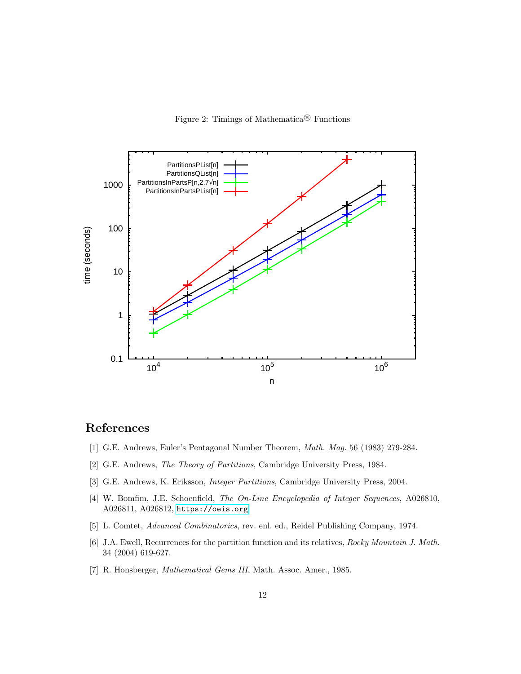Figure 2: Timings of Mathematica® Functions

<span id="page-11-6"></span>

## References

- <span id="page-11-1"></span>[1] G.E. Andrews, Euler's Pentagonal Number Theorem, Math. Mag. 56 (1983) 279-284.
- [2] G.E. Andrews, The Theory of Partitions, Cambridge University Press, 1984.
- <span id="page-11-0"></span>[3] G.E. Andrews, K. Eriksson, Integer Partitions, Cambridge University Press, 2004.
- <span id="page-11-3"></span>[4] W. Bomfim, J.E. Schoenfield, The On-Line Encyclopedia of Integer Sequences, A026810, A026811, A026812, <https://oeis.org>
- <span id="page-11-2"></span>[5] L. Comtet, Advanced Combinatorics, rev. enl. ed., Reidel Publishing Company, 1974.
- <span id="page-11-5"></span>[6] J.A. Ewell, Recurrences for the partition function and its relatives, Rocky Mountain J. Math. 34 (2004) 619-627.
- <span id="page-11-4"></span>[7] R. Honsberger, Mathematical Gems III, Math. Assoc. Amer., 1985.